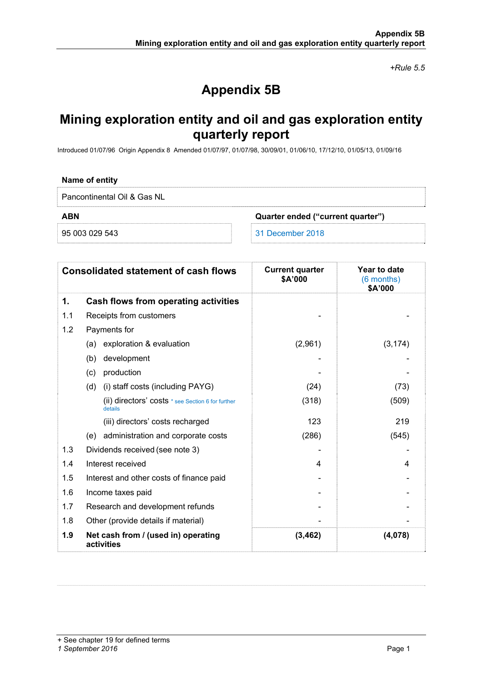*+Rule 5.5* 

# **Appendix 5B**

## **Mining exploration entity and oil and gas exploration entity quarterly report**

Introduced 01/07/96 Origin Appendix 8 Amended 01/07/97, 01/07/98, 30/09/01, 01/06/10, 17/12/10, 01/05/13, 01/09/16

### **Name of entity**

Pancontinental Oil & Gas NL

**ABN Quarter ended ("current quarter")** 

95 003 029 543 31 December 2018

|     | <b>Consolidated statement of cash flows</b>                  | <b>Current quarter</b><br>\$A'000 | Year to date<br>(6 months)<br>\$A'000 |
|-----|--------------------------------------------------------------|-----------------------------------|---------------------------------------|
| 1.  | Cash flows from operating activities                         |                                   |                                       |
| 1.1 | Receipts from customers                                      |                                   |                                       |
| 1.2 | Payments for                                                 |                                   |                                       |
|     | exploration & evaluation<br>(a)                              | (2,961)                           | (3, 174)                              |
|     | development<br>(b)                                           |                                   |                                       |
|     | production<br>(c)                                            |                                   |                                       |
|     | (i) staff costs (including PAYG)<br>(d)                      | (24)                              | (73)                                  |
|     | (ii) directors' costs * see Section 6 for further<br>details | (318)                             | (509)                                 |
|     | (iii) directors' costs recharged                             | 123                               | 219                                   |
|     | (e) administration and corporate costs                       | (286)                             | (545)                                 |
| 1.3 | Dividends received (see note 3)                              |                                   |                                       |
| 1.4 | Interest received                                            | 4                                 | 4                                     |
| 1.5 | Interest and other costs of finance paid                     |                                   |                                       |
| 1.6 | Income taxes paid                                            |                                   |                                       |
| 1.7 | Research and development refunds                             |                                   |                                       |
| 1.8 | Other (provide details if material)                          |                                   |                                       |
| 1.9 | Net cash from / (used in) operating<br>activities            | (3, 462)                          | (4,078)                               |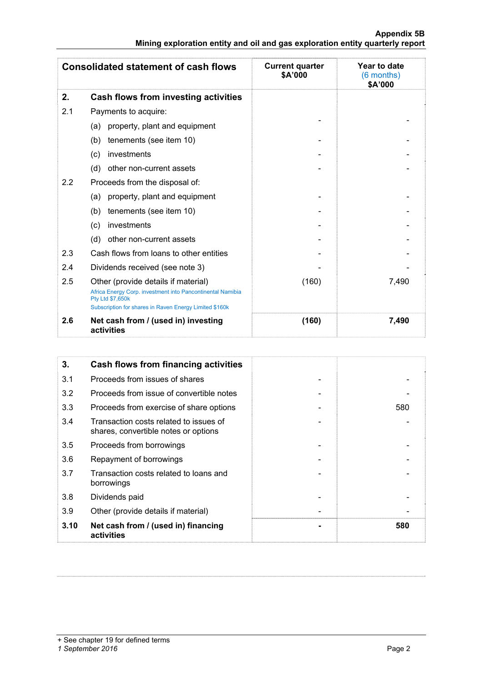| Appendix 5B                                                                   |  |
|-------------------------------------------------------------------------------|--|
| Mining exploration entity and oil and gas exploration entity quarterly report |  |

|     | <b>Consolidated statement of cash flows</b>                                                                                                                                     | <b>Current quarter</b><br>\$A'000 | Year to date<br>(6 months)<br>\$A'000 |
|-----|---------------------------------------------------------------------------------------------------------------------------------------------------------------------------------|-----------------------------------|---------------------------------------|
| 2.  | Cash flows from investing activities                                                                                                                                            |                                   |                                       |
| 2.1 | Payments to acquire:                                                                                                                                                            |                                   |                                       |
|     | property, plant and equipment<br>(a)                                                                                                                                            |                                   |                                       |
|     | tenements (see item 10)<br>(b)                                                                                                                                                  |                                   |                                       |
|     | investments<br>(c)                                                                                                                                                              |                                   |                                       |
|     | other non-current assets<br>(d)                                                                                                                                                 |                                   |                                       |
| 2.2 | Proceeds from the disposal of:                                                                                                                                                  |                                   |                                       |
|     | property, plant and equipment<br>(a)                                                                                                                                            |                                   |                                       |
|     | tenements (see item 10)<br>(b)                                                                                                                                                  |                                   |                                       |
|     | investments<br>(c)                                                                                                                                                              |                                   |                                       |
|     | other non-current assets<br>(d)                                                                                                                                                 |                                   |                                       |
| 2.3 | Cash flows from loans to other entities                                                                                                                                         |                                   |                                       |
| 2.4 | Dividends received (see note 3)                                                                                                                                                 |                                   |                                       |
| 2.5 | Other (provide details if material)<br>Africa Energy Corp. investment into Pancontinental Namibia<br>Pty Ltd \$7,650k<br>Subscription for shares in Raven Energy Limited \$160k | (160)                             | 7,490                                 |
| 2.6 | Net cash from / (used in) investing<br>activities                                                                                                                               | (160)                             | 7,490                                 |

| 3.   | Cash flows from financing activities                                           |     |
|------|--------------------------------------------------------------------------------|-----|
| 3.1  | Proceeds from issues of shares                                                 |     |
| 3.2  | Proceeds from issue of convertible notes                                       |     |
| 3.3  | Proceeds from exercise of share options                                        | 580 |
| 3.4  | Transaction costs related to issues of<br>shares, convertible notes or options |     |
| 3.5  | Proceeds from borrowings                                                       |     |
| 3.6  | Repayment of borrowings                                                        |     |
| 3.7  | Transaction costs related to loans and<br>borrowings                           |     |
| 3.8  | Dividends paid                                                                 |     |
| 3.9  | Other (provide details if material)                                            |     |
| 3.10 | Net cash from / (used in) financing<br>activities                              | 580 |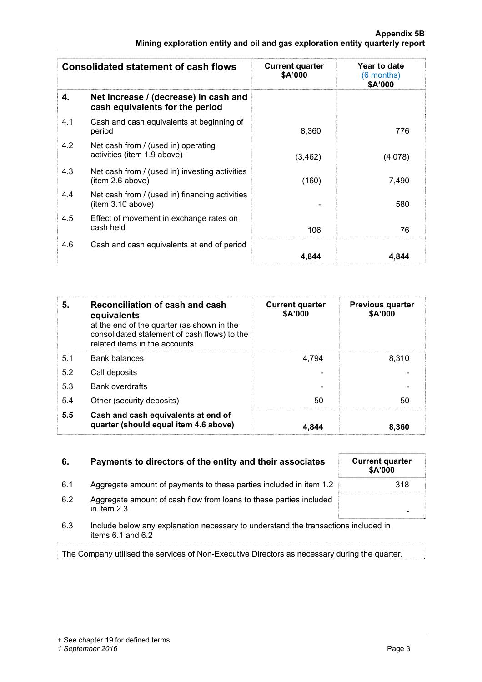| <b>Consolidated statement of cash flows</b> |                                                                          | <b>Current quarter</b><br>\$A'000 | Year to date<br>(6 months)<br>\$A'000 |
|---------------------------------------------|--------------------------------------------------------------------------|-----------------------------------|---------------------------------------|
| 4.                                          | Net increase / (decrease) in cash and<br>cash equivalents for the period |                                   |                                       |
| 4.1                                         | Cash and cash equivalents at beginning of<br>period                      | 8,360                             | 776                                   |
| 4.2                                         | Net cash from / (used in) operating<br>activities (item 1.9 above)       | (3, 462)                          | (4,078)                               |
| 4.3                                         | Net cash from / (used in) investing activities<br>(item 2.6 above)       | (160)                             | 7,490                                 |
| 4.4                                         | Net cash from / (used in) financing activities<br>item 3.10 above)       |                                   | 580                                   |
| 4.5                                         | Effect of movement in exchange rates on<br>cash held                     | 106                               | 76                                    |
| 4.6                                         | Cash and cash equivalents at end of period                               | 4,844                             | 4.844                                 |

| 5.  | <b>Reconciliation of cash and cash</b><br>equivalents<br>at the end of the quarter (as shown in the<br>consolidated statement of cash flows) to the<br>related items in the accounts | <b>Current quarter</b><br>\$A'000 | <b>Previous quarter</b><br>\$A'000 |
|-----|--------------------------------------------------------------------------------------------------------------------------------------------------------------------------------------|-----------------------------------|------------------------------------|
| 5.1 | <b>Bank balances</b>                                                                                                                                                                 | 4,794                             | 8.310                              |
| 5.2 | Call deposits                                                                                                                                                                        |                                   |                                    |
| 5.3 | <b>Bank overdrafts</b>                                                                                                                                                               |                                   |                                    |
| 5.4 | Other (security deposits)                                                                                                                                                            | 50                                | 50                                 |
| 5.5 | Cash and cash equivalents at end of<br>quarter (should equal item 4.6 above)                                                                                                         | 4.844                             | 8,360                              |

| Payments to directors of the entity and their associates | <b>Current quarter</b><br><b>\$A'000</b> |
|----------------------------------------------------------|------------------------------------------|
|                                                          |                                          |

| 6.1 | Aggregate amount of payments to these parties included in item 1.2 | 318. |
|-----|--------------------------------------------------------------------|------|
|     |                                                                    |      |

- 6.2 Aggregate amount of cash flow from loans to these parties included in item 2.3 -
- 6.3 Include below any explanation necessary to understand the transactions included in items 6.1 and 6.2

The Company utilised the services of Non-Executive Directors as necessary during the quarter.

| <b>Current quarter</b><br>\$A'000 |  |
|-----------------------------------|--|
| 318                               |  |
|                                   |  |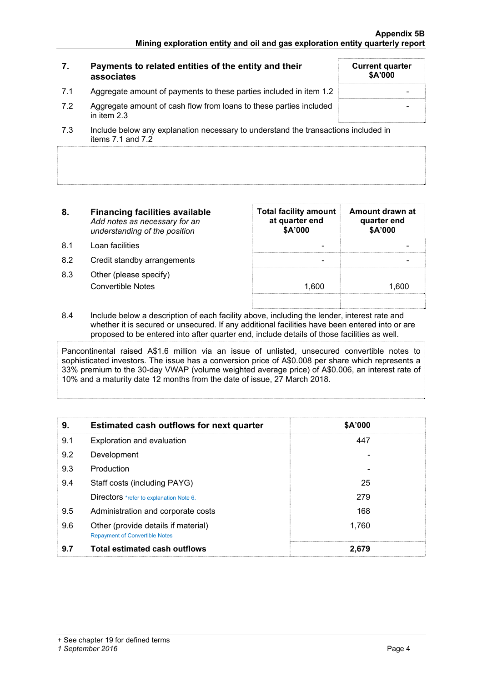|     | Payments to related entities of the entity and their<br>associates                | <b>Current quarter</b><br>\$A'000 |
|-----|-----------------------------------------------------------------------------------|-----------------------------------|
| 7.1 | Aggregate amount of payments to these parties included in item 1.2                |                                   |
| 7.2 | Aggregate amount of cash flow from loans to these parties included<br>in item 2.3 |                                   |
|     | .                                                                                 |                                   |

- 7.3 Include below any explanation necessary to understand the transactions included in items  $7.1$  and  $7.2$
- **8. Financing facilities available** *Add notes as necessary for an understanding of the position*
- 8.1 Loan facilities
- 8.2 Credit standby arrangements
- 8.3 Other (please specify) Convertible Notes

| Total facility amount Amount drawn at<br>at quarter end<br>\$A'000 | quarter end<br>\$A'000 |
|--------------------------------------------------------------------|------------------------|
|                                                                    |                        |
| 1,600                                                              | 1.600                  |
|                                                                    |                        |

8.4 Include below a description of each facility above, including the lender, interest rate and whether it is secured or unsecured. If any additional facilities have been entered into or are proposed to be entered into after quarter end, include details of those facilities as well.

Pancontinental raised A\$1.6 million via an issue of unlisted, unsecured convertible notes to sophisticated investors. The issue has a conversion price of A\$0.008 per share which represents a 33% premium to the 30-day VWAP (volume weighted average price) of A\$0.006, an interest rate of 10% and a maturity date 12 months from the date of issue, 27 March 2018.

| 9.  | Estimated cash outflows for next quarter                                     | \$A'000 |
|-----|------------------------------------------------------------------------------|---------|
| 9.1 | Exploration and evaluation                                                   | 447     |
| 9.2 | Development                                                                  |         |
| 9.3 | Production                                                                   |         |
| 9.4 | Staff costs (including PAYG)                                                 | 25      |
|     | Directors *refer to explanation Note 6.                                      | 279     |
| 9.5 | Administration and corporate costs                                           | 168     |
| 9.6 | Other (provide details if material)<br><b>Repayment of Convertible Notes</b> | 1,760   |
| 9.7 | <b>Total estimated cash outflows</b>                                         | 2.679   |